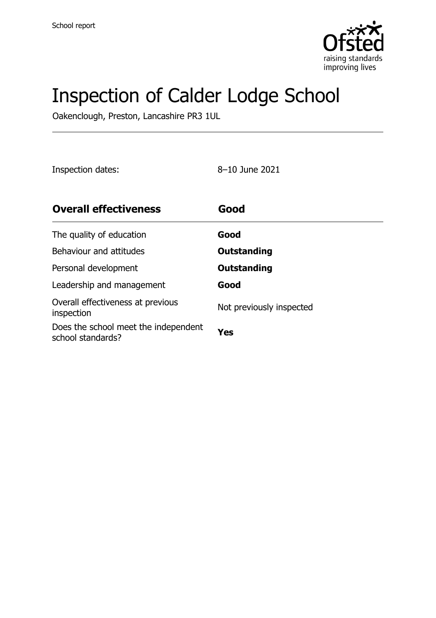

# Inspection of Calder Lodge School

Oakenclough, Preston, Lancashire PR3 1UL

Inspection dates: 8–10 June 2021

| <b>Overall effectiveness</b>                              | Good                     |
|-----------------------------------------------------------|--------------------------|
| The quality of education                                  | Good                     |
| Behaviour and attitudes                                   | Outstanding              |
| Personal development                                      | <b>Outstanding</b>       |
| Leadership and management                                 | Good                     |
| Overall effectiveness at previous<br>inspection           | Not previously inspected |
| Does the school meet the independent<br>school standards? | Yes                      |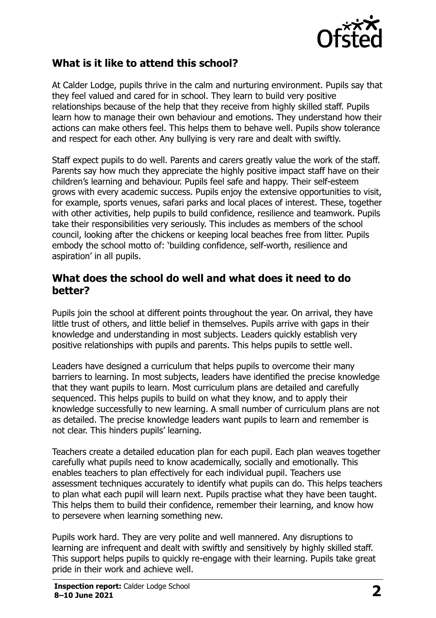

#### **What is it like to attend this school?**

At Calder Lodge, pupils thrive in the calm and nurturing environment. Pupils say that they feel valued and cared for in school. They learn to build very positive relationships because of the help that they receive from highly skilled staff. Pupils learn how to manage their own behaviour and emotions. They understand how their actions can make others feel. This helps them to behave well. Pupils show tolerance and respect for each other. Any bullying is very rare and dealt with swiftly.

Staff expect pupils to do well. Parents and carers greatly value the work of the staff. Parents say how much they appreciate the highly positive impact staff have on their children's learning and behaviour. Pupils feel safe and happy. Their self-esteem grows with every academic success. Pupils enjoy the extensive opportunities to visit, for example, sports venues, safari parks and local places of interest. These, together with other activities, help pupils to build confidence, resilience and teamwork. Pupils take their responsibilities very seriously. This includes as members of the school council, looking after the chickens or keeping local beaches free from litter. Pupils embody the school motto of: 'building confidence, self-worth, resilience and aspiration' in all pupils.

#### **What does the school do well and what does it need to do better?**

Pupils join the school at different points throughout the year. On arrival, they have little trust of others, and little belief in themselves. Pupils arrive with gaps in their knowledge and understanding in most subjects. Leaders quickly establish very positive relationships with pupils and parents. This helps pupils to settle well.

Leaders have designed a curriculum that helps pupils to overcome their many barriers to learning. In most subjects, leaders have identified the precise knowledge that they want pupils to learn. Most curriculum plans are detailed and carefully sequenced. This helps pupils to build on what they know, and to apply their knowledge successfully to new learning. A small number of curriculum plans are not as detailed. The precise knowledge leaders want pupils to learn and remember is not clear. This hinders pupils' learning.

Teachers create a detailed education plan for each pupil. Each plan weaves together carefully what pupils need to know academically, socially and emotionally. This enables teachers to plan effectively for each individual pupil. Teachers use assessment techniques accurately to identify what pupils can do. This helps teachers to plan what each pupil will learn next. Pupils practise what they have been taught. This helps them to build their confidence, remember their learning, and know how to persevere when learning something new.

Pupils work hard. They are very polite and well mannered. Any disruptions to learning are infrequent and dealt with swiftly and sensitively by highly skilled staff. This support helps pupils to quickly re-engage with their learning. Pupils take great pride in their work and achieve well.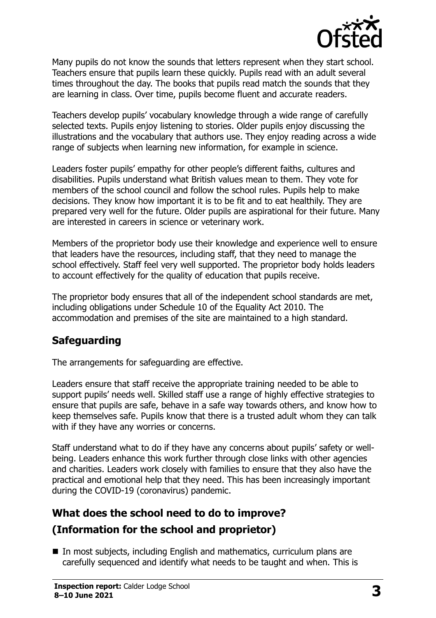

Many pupils do not know the sounds that letters represent when they start school. Teachers ensure that pupils learn these quickly. Pupils read with an adult several times throughout the day. The books that pupils read match the sounds that they are learning in class. Over time, pupils become fluent and accurate readers.

Teachers develop pupils' vocabulary knowledge through a wide range of carefully selected texts. Pupils enjoy listening to stories. Older pupils enjoy discussing the illustrations and the vocabulary that authors use. They enjoy reading across a wide range of subjects when learning new information, for example in science.

Leaders foster pupils' empathy for other people's different faiths, cultures and disabilities. Pupils understand what British values mean to them. They vote for members of the school council and follow the school rules. Pupils help to make decisions. They know how important it is to be fit and to eat healthily. They are prepared very well for the future. Older pupils are aspirational for their future. Many are interested in careers in science or veterinary work.

Members of the proprietor body use their knowledge and experience well to ensure that leaders have the resources, including staff, that they need to manage the school effectively. Staff feel very well supported. The proprietor body holds leaders to account effectively for the quality of education that pupils receive.

The proprietor body ensures that all of the independent school standards are met, including obligations under Schedule 10 of the Equality Act 2010. The accommodation and premises of the site are maintained to a high standard.

### **Safeguarding**

The arrangements for safeguarding are effective.

Leaders ensure that staff receive the appropriate training needed to be able to support pupils' needs well. Skilled staff use a range of highly effective strategies to ensure that pupils are safe, behave in a safe way towards others, and know how to keep themselves safe. Pupils know that there is a trusted adult whom they can talk with if they have any worries or concerns.

Staff understand what to do if they have any concerns about pupils' safety or wellbeing. Leaders enhance this work further through close links with other agencies and charities. Leaders work closely with families to ensure that they also have the practical and emotional help that they need. This has been increasingly important during the COVID-19 (coronavirus) pandemic.

## **What does the school need to do to improve? (Information for the school and proprietor)**

■ In most subjects, including English and mathematics, curriculum plans are carefully sequenced and identify what needs to be taught and when. This is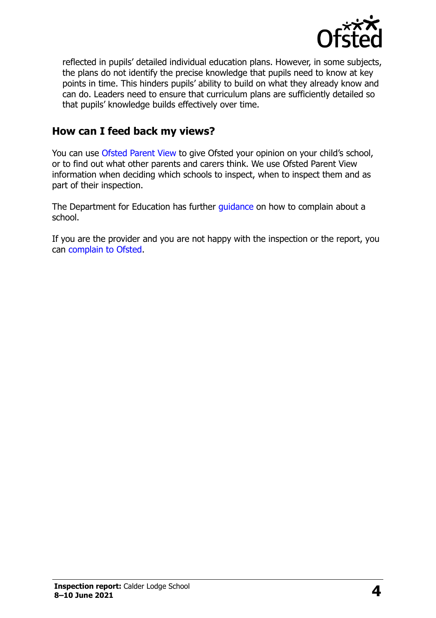

reflected in pupils' detailed individual education plans. However, in some subjects, the plans do not identify the precise knowledge that pupils need to know at key points in time. This hinders pupils' ability to build on what they already know and can do. Leaders need to ensure that curriculum plans are sufficiently detailed so that pupils' knowledge builds effectively over time.

#### **How can I feed back my views?**

You can use [Ofsted Parent View](http://parentview.ofsted.gov.uk/) to give Ofsted your opinion on your child's school, or to find out what other parents and carers think. We use Ofsted Parent View information when deciding which schools to inspect, when to inspect them and as part of their inspection.

The Department for Education has further quidance on how to complain about a school.

If you are the provider and you are not happy with the inspection or the report, you can [complain to Ofsted.](http://www.gov.uk/complain-ofsted-report)

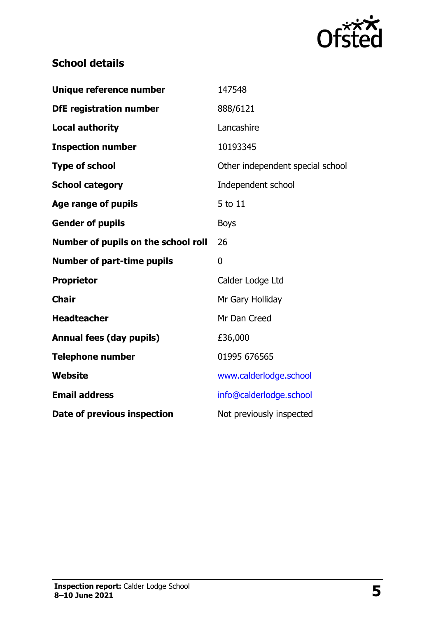

## **School details**

| Unique reference number             | 147548                           |
|-------------------------------------|----------------------------------|
| <b>DfE registration number</b>      | 888/6121                         |
| <b>Local authority</b>              | Lancashire                       |
| <b>Inspection number</b>            | 10193345                         |
| <b>Type of school</b>               | Other independent special school |
| <b>School category</b>              | Independent school               |
| <b>Age range of pupils</b>          | 5 to 11                          |
| <b>Gender of pupils</b>             | <b>Boys</b>                      |
| Number of pupils on the school roll | 26                               |
| <b>Number of part-time pupils</b>   | 0                                |
| <b>Proprietor</b>                   | Calder Lodge Ltd                 |
| <b>Chair</b>                        | Mr Gary Holliday                 |
| <b>Headteacher</b>                  | Mr Dan Creed                     |
| <b>Annual fees (day pupils)</b>     | £36,000                          |
| <b>Telephone number</b>             | 01995 676565                     |
| <b>Website</b>                      | www.calderlodge.school           |
| <b>Email address</b>                | info@calderlodge.school          |
| Date of previous inspection         | Not previously inspected         |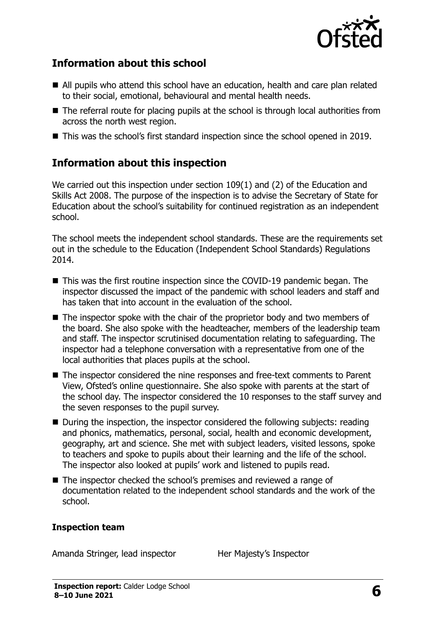

#### **Information about this school**

- All pupils who attend this school have an education, health and care plan related to their social, emotional, behavioural and mental health needs.
- The referral route for placing pupils at the school is through local authorities from across the north west region.
- This was the school's first standard inspection since the school opened in 2019.

### **Information about this inspection**

We carried out this inspection under section 109(1) and (2) of the Education and Skills Act 2008. The purpose of the inspection is to advise the Secretary of State for Education about the school's suitability for continued registration as an independent school.

The school meets the independent school standards. These are the requirements set out in the schedule to the Education (Independent School Standards) Regulations 2014.

- This was the first routine inspection since the COVID-19 pandemic began. The inspector discussed the impact of the pandemic with school leaders and staff and has taken that into account in the evaluation of the school.
- The inspector spoke with the chair of the proprietor body and two members of the board. She also spoke with the headteacher, members of the leadership team and staff. The inspector scrutinised documentation relating to safeguarding. The inspector had a telephone conversation with a representative from one of the local authorities that places pupils at the school.
- The inspector considered the nine responses and free-text comments to Parent View, Ofsted's online questionnaire. She also spoke with parents at the start of the school day. The inspector considered the 10 responses to the staff survey and the seven responses to the pupil survey.
- During the inspection, the inspector considered the following subjects: reading and phonics, mathematics, personal, social, health and economic development, geography, art and science. She met with subject leaders, visited lessons, spoke to teachers and spoke to pupils about their learning and the life of the school. The inspector also looked at pupils' work and listened to pupils read.
- The inspector checked the school's premises and reviewed a range of documentation related to the independent school standards and the work of the school.

#### **Inspection team**

Amanda Stringer, lead inspector Her Majesty's Inspector